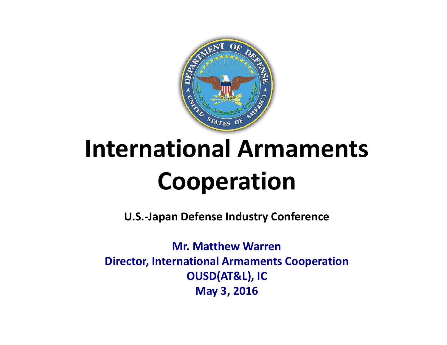

# **International Armaments Coo peration**

**U.S. ‐Japan Defense Industry Conference**

**Mr. Matthew Warren Director, International Armaments Cooperation OUSD ( ), AT&L IC May 3, 2016**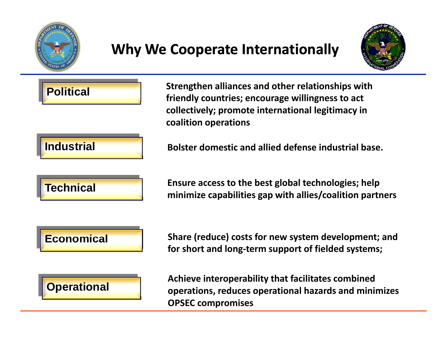

## **Why We Cooperate Internationally**



**Strengthen alliances and other relationships with friendly countries; encourage willingness to act ll i l i il l ii i collectively; promote internationallegitimacy in coalition operations**

#### **IndustrialBolster domestic and allied defense industrial base. o ste**

**Political**



**Ensure access to the best global technologies; help** Industrial<br>
Bolster domestic and allied defense industrial base.<br>
Ensure access to the best global technologies; help<br>
minimize capabilities gap with allies/coalition partners

### **Economical**

 **Share (reduce) costs for new system development; and for short and long‐term support of fielded systems;**



**Achieve interoperability that facilitates combined operations, reduces operational hazards and minimizes OPSEC compromises**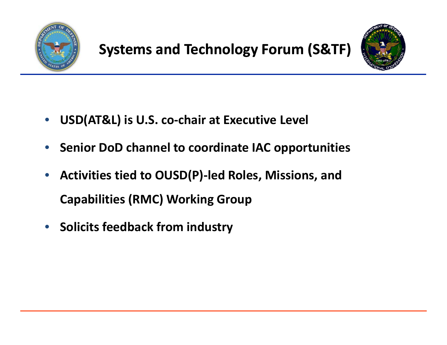



- •**USD(AT&L) is U.S. co‐chair at Executive Level**
- •**Senior DoD channel to coordinate IAC opportunities**
- $\bullet$  **Activities tied to OUSD(P)‐led Roles, Missions, and Capabilities (RMC) Working Group**
- **Solicits feedback from industry**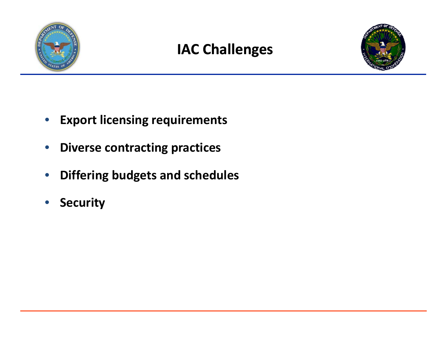

## **IAC Challenges**



- •**Export licensing requirements**
- $\bullet$ **Diverse contracting practices**
- •**Differing budgets and schedules**
- •**Security**